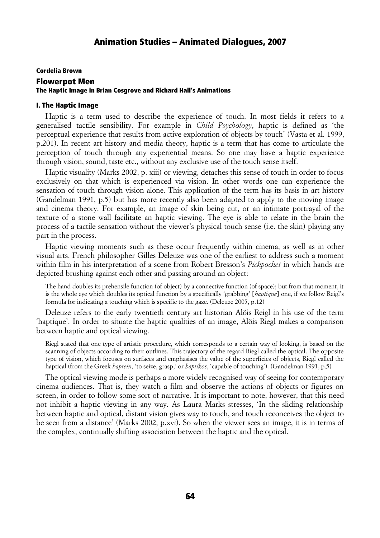# Cordelia Brown Flowerpot Men The Haptic Image in Brian Cosgrove and Richard Hall's Animations

### I. The Haptic Image

Haptic is a term used to describe the experience of touch. In most fields it refers to a generalised tactile sensibility. For example in *Child Psychology*, haptic is defined as 'the perceptual experience that results from active exploration of objects by touch' (Vasta et al. 1999, p.201). In recent art history and media theory, haptic is a term that has come to articulate the perception of touch through any experiential means. So one may have a haptic experience through vision, sound, taste etc., without any exclusive use of the touch sense itself.

Haptic visuality (Marks 2002, p. xiii) or viewing, detaches this sense of touch in order to focus exclusively on that which is experienced via vision. In other words one can experience the sensation of touch through vision alone. This application of the term has its basis in art history (Gandelman 1991, p.5) but has more recently also been adapted to apply to the moving image and cinema theory. For example, an image of skin being cut, or an intimate portrayal of the texture of a stone wall facilitate an haptic viewing. The eye is able to relate in the brain the process of a tactile sensation without the viewer's physical touch sense (i.e. the skin) playing any part in the process.

Haptic viewing moments such as these occur frequently within cinema, as well as in other visual arts. French philosopher Gilles Deleuze was one of the earliest to address such a moment within film in his interpretation of a scene from Robert Bresson's *Pickpocket* in which hands are depicted brushing against each other and passing around an object:

The hand doubles its prehensile function (of object) by a connective function (of space); but from that moment, it is the whole eye which doubles its optical function by a specifically 'grabbing' [*haptique*] one, if we follow Reigl's formula for indicating a touching which is specific to the gaze. (Deleuze 2005, p.12)

Deleuze refers to the early twentieth century art historian Alöis Reigl in his use of the term 'haptique'. In order to situate the haptic qualities of an image, Alöis Riegl makes a comparison between haptic and optical viewing.

Riegl stated that one type of artistic procedure, which corresponds to a certain way of looking, is based on the scanning of objects according to their outlines. This trajectory of the regard Riegl called the optical. The opposite type of vision, which focuses on surfaces and emphasises the value of the superficies of objects, Riegl called the haptical (from the Greek *haptein*, 'to seize, grasp,' or *haptikos*, 'capable of touching'). (Gandelman 1991, p.5)

The optical viewing mode is perhaps a more widely recognised way of seeing for contemporary cinema audiences. That is, they watch a film and observe the actions of objects or figures on screen, in order to follow some sort of narrative. It is important to note, however, that this need not inhibit a haptic viewing in any way. As Laura Marks stresses, 'In the sliding relationship between haptic and optical, distant vision gives way to touch, and touch reconceives the object to be seen from a distance' (Marks 2002, p.xvi). So when the viewer sees an image, it is in terms of the complex, continually shifting association between the haptic and the optical.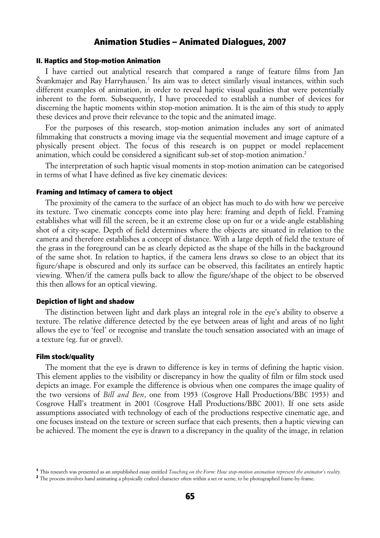### II. Haptics and Stop-motion Animation

I have carried out analytical research that compared a range of feature films from Jan Švankmajer and Ray Harryhausen.<sup>[1](#page-1-0)</sup> Its aim was to detect similarly visual instances, within such different examples of animation, in order to reveal haptic visual qualities that were potentially inherent to the form. Subsequently, I have proceeded to establish a number of devices for discerning the haptic moments within stop-motion animation. It is the aim of this study to apply these devices and prove their relevance to the topic and the animated image.

For the purposes of this research, stop-motion animation includes any sort of animated filmmaking that constructs a moving image via the sequential movement and image capture of a physically present object. The focus of this research is on puppet or model replacement animation, which could be considered a significant sub-set of stop-motion animation.[2](#page-1-1)

The interpretation of such haptic visual moments in stop-motion animation can be categorised in terms of what I have defined as five key cinematic devices:

### Framing and Intimacy of camera to object

The proximity of the camera to the surface of an object has much to do with how we perceive its texture. Two cinematic concepts come into play here: framing and depth of field. Framing establishes what will fill the screen, be it an extreme close up on fur or a wide-angle establishing shot of a city-scape. Depth of field determines where the objects are situated in relation to the camera and therefore establishes a concept of distance. With a large depth of field the texture of the grass in the foreground can be as clearly depicted as the shape of the hills in the background of the same shot. In relation to haptics, if the camera lens draws so close to an object that its figure/shape is obscured and only its surface can be observed, this facilitates an entirely haptic viewing. When/if the camera pulls back to allow the figure/shape of the object to be observed this then allows for an optical viewing.

#### Depiction of light and shadow

The distinction between light and dark plays an integral role in the eye's ability to observe a texture. The relative difference detected by the eye between areas of light and areas of no light allows the eye to 'feel' or recognise and translate the touch sensation associated with an image of a texture (eg. fur or gravel).

#### Film stock/quality

The moment that the eve is drawn to difference is key in terms of defining the haptic vision. This element applies to the visibility or discrepancy in how the quality of film or film stock used depicts an image. For example the difference is obvious when one compares the image quality of the two versions of *Bill and Ben*, one from 1953 (Cosgrove Hall Productions/BBC 1953) and Cosgrove Hall's treatment in 2001 (Cosgrove Hall Productions/BBC 2001). If one sets aside assumptions associated with technology of each of the productions respective cinematic age, and one focuses instead on the texture or screen surface that each presents, then a haptic viewing can be achieved. The moment the eye is drawn to a discrepancy in the quality of the image, in relation

<span id="page-1-0"></span><sup>1</sup> This research was presented as an unpublished essay entitled *Touching on the Form: How stop-motion animation represent the animator's reality.*

<span id="page-1-1"></span><sup>&</sup>lt;sup>2</sup> The process involves hand animating a physically crafted character often within a set or scene, to be photographed frame-by-frame.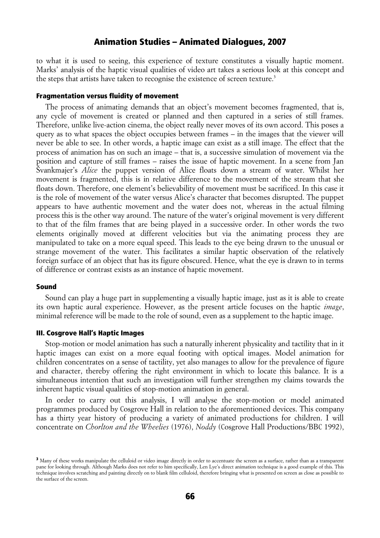to what it is used to seeing, this experience of texture constitutes a visually haptic moment. Marks' analysis of the haptic visual qualities of video art takes a serious look at this concept and the steps that artists have taken to recognise the existence of screen texture.<sup>[3](#page-2-0)</sup>

### Fragmentation versus fluidity of movement

The process of animating demands that an object's movement becomes fragmented, that is, any cycle of movement is created or planned and then captured in a series of still frames. Therefore, unlike live-action cinema, the object really never moves of its own accord. This poses a query as to what spaces the object occupies between frames – in the images that the viewer will never be able to see. In other words, a haptic image can exist as a still image. The effect that the process of animation has on such an image – that is, a successive simulation of movement via the position and capture of still frames – raises the issue of haptic movement. In a scene from Jan Svankmajer's *Alice* the puppet version of Alice floats down a stream of water. Whilst her movement is fragmented, this is in relative difference to the movement of the stream that she floats down. Therefore, one element's believability of movement must be sacrificed. In this case it is the role of movement of the water versus Alice's character that becomes disrupted. The puppet appears to have authentic movement and the water does not, whereas in the actual filming process this is the other way around. The nature of the water's original movement is very different to that of the film frames that are being played in a successive order. In other words the two elements originally moved at different velocities but via the animating process they are manipulated to take on a more equal speed. This leads to the eye being drawn to the unusual or strange movement of the water. This facilitates a similar haptic observation of the relatively foreign surface of an object that has its figure obscured. Hence, what the eye is drawn to in terms of difference or contrast exists as an instance of haptic movement.

#### Sound

Sound can play a huge part in supplementing a visually haptic image, just as it is able to create its own haptic aural experience. However, as the present article focuses on the haptic *image*, minimal reference will be made to the role of sound, even as a supplement to the haptic image.

#### III. Cosgrove Hall's Haptic Images

Stop-motion or model animation has such a naturally inherent physicality and tactility that in it haptic images can exist on a more equal footing with optical images. Model animation for children concentrates on a sense of tactility, yet also manages to allow for the prevalence of figure and character, thereby offering the right environment in which to locate this balance. It is a simultaneous intention that such an investigation will further strengthen my claims towards the inherent haptic visual qualities of stop-motion animation in general.

In order to carry out this analysis, I will analyse the stop-motion or model animated programmes produced by Cosgrove Hall in relation to the aforementioned devices. This company has a thirty year history of producing a variety of animated productions for children. I will concentrate on *Chorlton and the Wheelies* (1976), *Noddy* (Cosgrove Hall Productions/BBC 1992),

<span id="page-2-0"></span><sup>&</sup>lt;sup>3</sup> Many of these works manipulate the celluloid or video image directly in order to accentuate the screen as a surface, rather than as a transparent pane for looking through. Although Marks does not refer to him specifically, Len Lye's direct animation technique is a good example of this. This technique involves scratching and painting directly on to blank film celluloid, therefore bringing what is presented on screen as close as possible to the surface of the screen.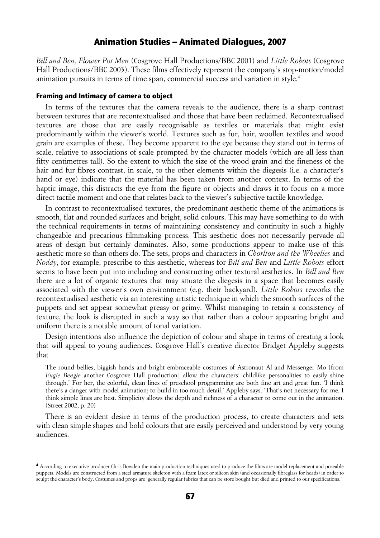*Bill and Ben, Flower Pot Men* (Cosgrove Hall Productions/BBC 2001) and *Little Robots* (Cosgrove Hall Productions/BBC 2003). These films effectively represent the company's stop-motion/model animation pursuits in terms of time span, commercial success and variation in style.<sup>[4](#page-3-0)</sup>

### Framing and Intimacy of camera to object

In terms of the textures that the camera reveals to the audience, there is a sharp contrast between textures that are recontextualised and those that have been reclaimed. Recontextualised textures are those that are easily recognisable as textiles or materials that might exist predominantly within the viewer's world. Textures such as fur, hair, woollen textiles and wood grain are examples of these. They become apparent to the eye because they stand out in terms of scale, relative to associations of scale prompted by the character models (which are all less than fifty centimetres tall). So the extent to which the size of the wood grain and the fineness of the hair and fur fibres contrast, in scale, to the other elements within the diegesis (i.e. a character's hand or eye) indicate that the material has been taken from another context. In terms of the haptic image, this distracts the eye from the figure or objects and draws it to focus on a more direct tactile moment and one that relates back to the viewer's subjective tactile knowledge.

In contrast to recontextualised textures, the predominant aesthetic theme of the animations is smooth, flat and rounded surfaces and bright, solid colours. This may have something to do with the technical requirements in terms of maintaining consistency and continuity in such a highly changeable and precarious filmmaking process. This aesthetic does not necessarily pervade all areas of design but certainly dominates. Also, some productions appear to make use of this aesthetic more so than others do. The sets, props and characters in *Chorlton and the Wheelies* and *Noddy*, for example, prescribe to this aesthetic, whereas for *Bill and Ben* and *Little Robots* effort seems to have been put into including and constructing other textural aesthetics. In *Bill and Ben* there are a lot of organic textures that may situate the diegesis in a space that becomes easily associated with the viewer's own environment (e.g. their backyard). *Little Robots* reworks the recontextualised aesthetic via an interesting artistic technique in which the smooth surfaces of the puppets and set appear somewhat greasy or grimy. Whilst managing to retain a consistency of texture, the look is disrupted in such a way so that rather than a colour appearing bright and uniform there is a notable amount of tonal variation.

Design intentions also influence the depiction of colour and shape in terms of creating a look that will appeal to young audiences. Cosgrove Hall's creative director Bridget Appleby suggests that

The round bellies, biggish hands and bright embraceable costumes of Astronaut Al and Messenger Mo [from *Engie Bengie* another Cosgrove Hall production] allow the characters' childlike personalities to easily shine through.' For her, the colorful, clean lines of preschool programming are both fine art and great fun. 'I think there's a danger with model animation; to build in too much detail,' Appleby says. 'That's not necessary for me. I think simple lines are best. Simplicity allows the depth and richness of a character to come out in the animation. (Street 2002, p. 20)

There is an evident desire in terms of the production process, to create characters and sets with clean simple shapes and bold colours that are easily perceived and understood by very young audiences.

<span id="page-3-0"></span><sup>4</sup> According to executive producer Chris Bowden the main production techniques used to produce the films are model replacement and poseable puppets. Models are constructed from a steel armature skeleton with a foam latex or silicon skin (and occasionally fibreglass for heads) in order to sculpt the character's body. Costumes and props are 'generally regular fabrics that can be store bought but died and printed to our specifications.'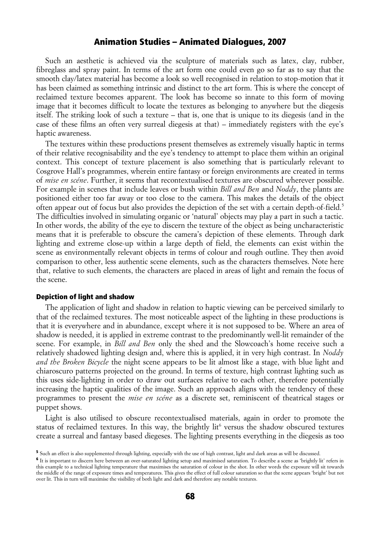Such an aesthetic is achieved via the sculpture of materials such as latex, clay, rubber, fibreglass and spray paint. In terms of the art form one could even go so far as to say that the smooth clay/latex material has become a look so well recognised in relation to stop-motion that it has been claimed as something intrinsic and distinct to the art form. This is where the concept of reclaimed texture becomes apparent. The look has become so innate to this form of moving image that it becomes difficult to locate the textures as belonging to anywhere but the diegesis itself. The striking look of such a texture – that is, one that is unique to its diegesis (and in the case of these films an often very surreal diegesis at that) – immediately registers with the eye's haptic awareness.

The textures within these productions present themselves as extremely visually haptic in terms of their relative recognisability and the eye's tendency to attempt to place them within an original context. This concept of texture placement is also something that is particularly relevant to Cosgrove Hall's programmes, wherein entire fantasy or foreign environments are created in terms of *mise en scéne*. Further, it seems that recontextualised textures are obscured wherever possible. For example in scenes that include leaves or bush within *Bill and Ben* and *Noddy*, the plants are positioned either too far away or too close to the camera. This makes the details of the object often appear out of focus but also provides the depiction of the set with a certain depth-of-field.<sup>[5](#page-4-0)</sup> The difficulties involved in simulating organic or 'natural' objects may play a part in such a tactic. In other words, the ability of the eye to discern the texture of the object as being uncharacteristic means that it is preferable to obscure the camera's depiction of these elements. Through dark lighting and extreme close-up within a large depth of field, the elements can exist within the scene as environmentally relevant objects in terms of colour and rough outline. They then avoid comparison to other, less authentic scene elements, such as the characters themselves. Note here that, relative to such elements, the characters are placed in areas of light and remain the focus of the scene.

### Depiction of light and shadow

The application of light and shadow in relation to haptic viewing can be perceived similarly to that of the reclaimed textures. The most noticeable aspect of the lighting in these productions is that it is everywhere and in abundance, except where it is not supposed to be. Where an area of shadow is needed, it is applied in extreme contrast to the predominantly well-lit remainder of the scene. For example, in *Bill and Ben* only the shed and the Slowcoach's home receive such a relatively shadowed lighting design and, where this is applied, it in very high contrast. In *Noddy and the Broken Bicycle* the night scene appears to be lit almost like a stage, with blue light and chiaroscuro patterns projected on the ground. In terms of texture, high contrast lighting such as this uses side-lighting in order to draw out surfaces relative to each other, therefore potentially increasing the haptic qualities of the image. Such an approach aligns with the tendency of these programmes to present the *mise en scéne* as a discrete set, reminiscent of theatrical stages or puppet shows.

Light is also utilised to obscure recontextualised materials, again in order to promote the status of reclaimed textures. In this way, the brightly lit<sup>[6](#page-4-1)</sup> versus the shadow obscured textures create a surreal and fantasy based diegeses. The lighting presents everything in the diegesis as too

<span id="page-4-0"></span><sup>5</sup> Such an effect is also supplemented through lighting, especially with the use of high contrast, light and dark areas as will be discussed.

<span id="page-4-1"></span><sup>6</sup> It is important to discern here between an over-saturated lighting setup and maximised saturation. To describe a scene as 'brightly lit' refers in this example to a technical lighting temperature that maximises the saturation of colour in the shot. In other words the exposure will sit towards the middle of the range of exposure times and temperatures. This gives the effect of full colour saturation so that the scene appears 'bright' but not over lit. This in turn will maximise the visibility of both light and dark and therefore any notable textures.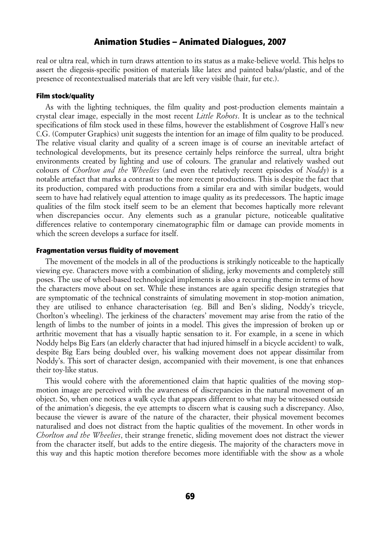real or ultra real, which in turn draws attention to its status as a make-believe world. This helps to assert the diegesis-specific position of materials like latex and painted balsa/plastic, and of the presence of recontextualised materials that are left very visible (hair, fur etc.).

#### Film stock/quality

As with the lighting techniques, the film quality and post-production elements maintain a crystal clear image, especially in the most recent *Little Robots*. It is unclear as to the technical specifications of film stock used in these films, however the establishment of Cosgrove Hall's new C.G. (Computer Graphics) unit suggests the intention for an image of film quality to be produced. The relative visual clarity and quality of a screen image is of course an inevitable artefact of technological developments, but its presence certainly helps reinforce the surreal, ultra bright environments created by lighting and use of colours. The granular and relatively washed out colours of *Chorlton and the Wheelies* (and even the relatively recent episodes of *Noddy*) is a notable artefact that marks a contrast to the more recent productions. This is despite the fact that its production, compared with productions from a similar era and with similar budgets, would seem to have had relatively equal attention to image quality as its predecessors. The haptic image qualities of the film stock itself seem to be an element that becomes haptically more relevant when discrepancies occur. Any elements such as a granular picture, noticeable qualitative differences relative to contemporary cinematographic film or damage can provide moments in which the screen develops a surface for itself.

#### Fragmentation versus fluidity of movement

The movement of the models in all of the productions is strikingly noticeable to the haptically viewing eye. Characters move with a combination of sliding, jerky movements and completely still poses. The use of wheel-based technological implements is also a recurring theme in terms of how the characters move about on set. While these instances are again specific design strategies that are symptomatic of the technical constraints of simulating movement in stop-motion animation, they are utilised to enhance characterisation (eg. Bill and Ben's sliding, Noddy's tricycle, Chorlton's wheeling). The jerkiness of the characters' movement may arise from the ratio of the length of limbs to the number of joints in a model. This gives the impression of broken up or arthritic movement that has a visually haptic sensation to it. For example, in a scene in which Noddy helps Big Ears (an elderly character that had injured himself in a bicycle accident) to walk, despite Big Ears being doubled over, his walking movement does not appear dissimilar from Noddy's. This sort of character design, accompanied with their movement, is one that enhances their toy-like status.

This would cohere with the aforementioned claim that haptic qualities of the moving stopmotion image are perceived with the awareness of discrepancies in the natural movement of an object. So, when one notices a walk cycle that appears different to what may be witnessed outside of the animation's diegesis, the eye attempts to discern what is causing such a discrepancy. Also, because the viewer is aware of the nature of the character, their physical movement becomes naturalised and does not distract from the haptic qualities of the movement. In other words in *Chorlton and the Wheelies*, their strange frenetic, sliding movement does not distract the viewer from the character itself, but adds to the entire diegesis. The majority of the characters move in this way and this haptic motion therefore becomes more identifiable with the show as a whole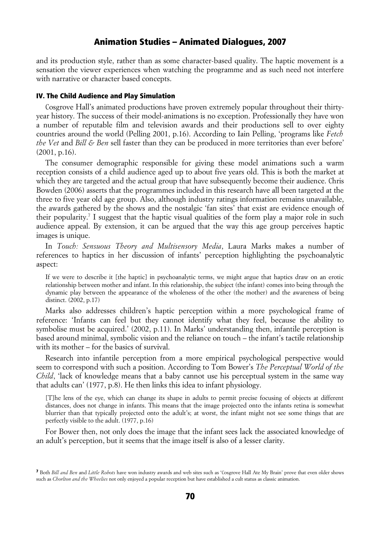and its production style, rather than as some character-based quality. The haptic movement is a sensation the viewer experiences when watching the programme and as such need not interfere with narrative or character based concepts.

### IV. The Child Audience and Play Simulation

Cosgrove Hall's animated productions have proven extremely popular throughout their thirtyyear history. The success of their model-animations is no exception. Professionally they have won a number of reputable film and television awards and their productions sell to over eighty countries around the world (Pelling 2001, p.16). According to Iain Pelling, 'programs like *Fetch the Vet* and *Bill & Ben* sell faster than they can be produced in more territories than ever before' (2001, p.16).

The consumer demographic responsible for giving these model animations such a warm reception consists of a child audience aged up to about five years old. This is both the market at which they are targeted and the actual group that have subsequently become their audience. Chris Bowden (2006) asserts that the programmes included in this research have all been targeted at the three to five year old age group. Also, although industry ratings information remains unavailable, the awards gathered by the shows and the nostalgic 'fan sites' that exist are evidence enough of their popularity.<sup>[7](#page-6-0)</sup> I suggest that the haptic visual qualities of the form play a major role in such audience appeal. By extension, it can be argued that the way this age group perceives haptic images is unique.

In *Touch: Sensuous Theory and Multisensory Media*, Laura Marks makes a number of references to haptics in her discussion of infants' perception highlighting the psychoanalytic aspect:

If we were to describe it [the haptic] in psychoanalytic terms, we might argue that haptics draw on an erotic relationship between mother and infant. In this relationship, the subject (the infant) comes into being through the dynamic play between the appearance of the wholeness of the other (the mother) and the awareness of being distinct. (2002, p.17)

Marks also addresses children's haptic perception within a more psychological frame of reference: 'Infants can feel but they cannot identify what they feel, because the ability to symbolise must be acquired.' (2002, p.11). In Marks' understanding then, infantile perception is based around minimal, symbolic vision and the reliance on touch – the infant's tactile relationship with its mother – for the basics of survival.

Research into infantile perception from a more empirical psychological perspective would seem to correspond with such a position. According to Tom Bower's *The Perceptual World of the Child*, 'lack of knowledge means that a baby cannot use his perceptual system in the same way that adults can' (1977, p.8). He then links this idea to infant physiology.

[T]he lens of the eye, which can change its shape in adults to permit precise focusing of objects at different distances, does not change in infants. This means that the image projected onto the infants retina is somewhat blurrier than that typically projected onto the adult's; at worst, the infant might not see some things that are perfectly visible to the adult. (1977, p.16)

For Bower then, not only does the image that the infant sees lack the associated knowledge of an adult's perception, but it seems that the image itself is also of a lesser clarity.

<span id="page-6-0"></span><sup>7</sup> Both *Bill and Ben* and *Little Robots* have won industry awards and web sites such as 'Cosgrove Hall Ate My Brain' prove that even older shows such as *Chorlton and the Wheelies* not only enjoyed a popular reception but have established a cult status as classic animation.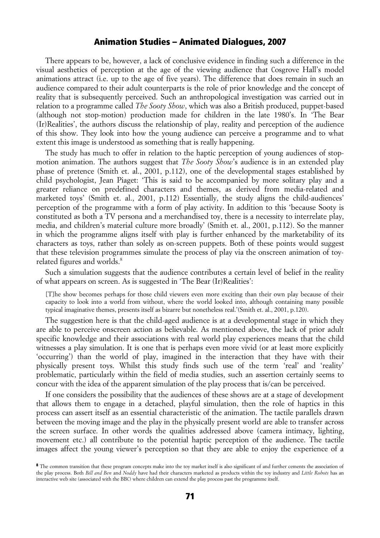There appears to be, however, a lack of conclusive evidence in finding such a difference in the visual aesthetics of perception at the age of the viewing audience that Cosgrove Hall's model animations attract (i.e. up to the age of five years). The difference that does remain in such an audience compared to their adult counterparts is the role of prior knowledge and the concept of reality that is subsequently perceived. Such an anthropological investigation was carried out in relation to a programme called *The Sooty Show*, which was also a British produced, puppet-based (although not stop-motion) production made for children in the late 1980's. In 'The Bear (Ir)Realities', the authors discuss the relationship of play, reality and perception of the audience of this show. They look into how the young audience can perceive a programme and to what extent this image is understood as something that is really happening.

The study has much to offer in relation to the haptic perception of young audiences of stopmotion animation. The authors suggest that *The Sooty Show*'s audience is in an extended play phase of pretence (Smith et. al., 2001, p.112), one of the developmental stages established by child psychologist, Jean Piaget: 'This is said to be accompanied by more solitary play and a greater reliance on predefined characters and themes, as derived from media-related and marketed toys' (Smith et. al., 2001, p.112) Essentially, the study aligns the child-audiences' perception of the programme with a form of play activity. In addition to this 'because Sooty is constituted as both a TV persona and a merchandised toy, there is a necessity to interrelate play, media, and children's material culture more broadly' (Smith et. al., 2001, p.112). So the manner in which the programme aligns itself with play is further enhanced by the marketability of its characters as toys, rather than solely as on-screen puppets. Both of these points would suggest that these television programmes simulate the process of play via the onscreen animation of toy-related figures and worlds.<sup>[8](#page-7-0)</sup>

Such a simulation suggests that the audience contributes a certain level of belief in the reality of what appears on screen. As is suggested in 'The Bear (Ir)Realities':

[T]he show becomes perhaps for those child viewers even more exciting than their own play because of their capacity to look into a world from without, where the world looked into, although containing many possible typical imaginative themes, presents itself as bizarre but nonetheless real.'(Smith et. al., 2001, p.120).

The suggestion here is that the child-aged audience is at a developmental stage in which they are able to perceive onscreen action as believable. As mentioned above, the lack of prior adult specific knowledge and their associations with real world play experiences means that the child witnesses a play simulation. It is one that is perhaps even more vivid (or at least more explicitly 'occurring') than the world of play, imagined in the interaction that they have with their physically present toys. Whilst this study finds such use of the term 'real' and 'reality' problematic, particularly within the field of media studies, such an assertion certainly seems to concur with the idea of the apparent simulation of the play process that is/can be perceived.

If one considers the possibility that the audiences of these shows are at a stage of development that allows them to engage in a detached, playful simulation, then the role of haptics in this process can assert itself as an essential characteristic of the animation. The tactile parallels drawn between the moving image and the play in the physically present world are able to transfer across the screen surface. In other words the qualities addressed above (camera intimacy, lighting, movement etc.) all contribute to the potential haptic perception of the audience. The tactile images affect the young viewer's perception so that they are able to enjoy the experience of a

<span id="page-7-0"></span><sup>&</sup>lt;sup>8</sup> The common transition that these program concepts make into the toy market itself is also significant of and further cements the association of the play process. Both *Bill and Ben* and *Noddy* have had their characters marketed as products within the toy industry and *Little Robots* has an interactive web site (associated with the BBC) where children can extend the play process past the programme itself.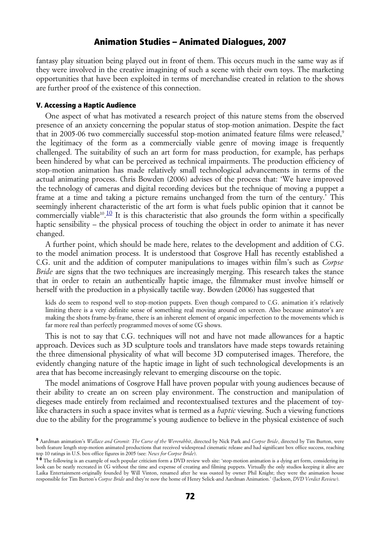fantasy play situation being played out in front of them. This occurs much in the same way as if they were involved in the creative imagining of such a scene with their own toys. The marketing opportunities that have been exploited in terms of merchandise created in relation to the shows are further proof of the existence of this connection.

### V. Accessing a Haptic Audience

One aspect of what has motivated a research project of this nature stems from the observed presence of an anxiety concerning the popular status of stop-motion animation. Despite the fact that in 2005-06 two commercially successful stop-motion animated feature films were released,<sup>[9](#page-8-0)</sup> the legitimacy of the form as a commercially viable genre of moving image is frequently challenged. The suitability of such an art form for mass production, for example, has perhaps been hindered by what can be perceived as technical impairments. The production efficiency of stop-motion animation has made relatively small technological advancements in terms of the actual animating process. Chris Bowden (2006) advises of the process that: 'We have improved the technology of cameras and digital recording devices but the technique of moving a puppet a frame at a time and taking a picture remains unchanged from the turn of the century.' This seemingly inherent characteristic of the art form is what fuels public opinion that it cannot be commercially viable<sup>[10](http://journal.animationstudies.org/2009/07/18/cordelia-brown-flowerpot-men/#sdendnote10sym)</sup>.<sup>10</sup> It is this characteristic that also grounds the form within a specifically haptic sensibility – the physical process of touching the object in order to animate it has never changed.

A further point, which should be made here, relates to the development and addition of C.G. to the model animation process. It is understood that Cosgrove Hall has recently established a C.G. unit and the addition of computer manipulations to images within film's such as *Corpse Bride* are signs that the two techniques are increasingly merging. This research takes the stance that in order to retain an authentically haptic image, the filmmaker must involve himself or herself with the production in a physically tactile way. Bowden (2006) has suggested that

kids do seem to respond well to stop-motion puppets. Even though compared to C.G. animation it's relatively limiting there is a very definite sense of something real moving around on screen. Also because animator's are making the shots frame-by-frame, there is an inherent element of organic imperfection to the movements which is far more real than perfectly programmed moves of some CG shows.

This is not to say that C.G. techniques will not and have not made allowances for a haptic approach. Devices such as 3D sculpture tools and translators have made steps towards retaining the three dimensional physicality of what will become 3D computerised images. Therefore, the evidently changing nature of the haptic image in light of such technological developments is an area that has become increasingly relevant to emerging discourse on the topic.

The model animations of Cosgrove Hall have proven popular with young audiences because of their ability to create an on screen play environment. The construction and manipulation of diegeses made entirely from reclaimed and recontextualised textures and the placement of toylike characters in such a space invites what is termed as a *haptic* viewing. Such a viewing functions due to the ability for the programme's young audience to believe in the physical existence of such

<span id="page-8-0"></span><sup>9</sup> Aardman animation's *Wallace and Gromit: The Curse of the Wererabbit*, directed by Nick Park and *Corpse Bride*, directed by Tim Burton, were both feature length stop-motion animated productions that received widespread cinematic release and had significant box office success, reaching top 10 ratings in U.S. box-office figures in 2005 (see: *News for Corpse Bride*).

<span id="page-8-1"></span><sup>&</sup>lt;sup>10</sup> The following is an example of such popular criticism form a DVD review web site: 'stop-motion animation is a dying art form, considering its look can be neatly recreated in CG without the time and expense of creating and filming puppets. Virtually the only studios keeping it alive are Laika Entertainment-originally founded by Will Vinton, renamed after he was ousted by owner Phil Knight; they were the animation house responsible for Tim Burton's *Corpse Bride* and they're now the home of Henry Selick-and Aardman Animation.' (Jackson, *DVD Verdict Review*).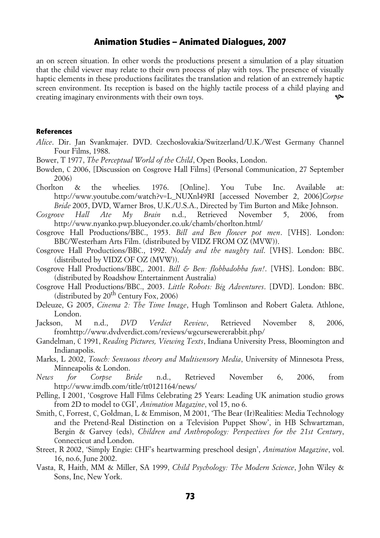an on screen situation. In other words the productions present a simulation of a play situation that the child viewer may relate to their own process of play with toys. The presence of visually haptic elements in these productions facilitates the translation and relation of an extremely haptic screen environment. Its reception is based on the highly tactile process of a child playing and creating imaginary environments with their own toys.

### References

- *Alice*. Dir. Jan Svankmajer. DVD. Czechoslovakia/Switzerland/U.K./West Germany Channel Four Films, 1988.
- Bower, T 1977, *The Perceptual World of the Child*, Open Books, London.
- Bowden, C 2006, [Discussion on Cosgrove Hall Films] (Personal Communication, 27 September 2006)
- Chorlton & the wheelies*.* 1976. [Online]. You Tube Inc. Available at: http://www.youtube.com/watch?v=L\_NUXnl49RI [accessed November 2, 2006]*Corpse Bride* 2005, DVD, Warner Bros, U.K./U.S.A., Directed by Tim Burton and Mike Johnson.
- *Cosgrove Hall Ate My Brain* n.d., Retrieved November 5, 2006, from http://www.nyanko.pwp.blueyonder.co.uk/chamb/chorlton.html/
- Cosgrove Hall Productions/BBC., 1953. *Bill and Ben flower pot men*. [VHS]. London: BBC/Westerham Arts Film. (distributed by VIDZ FROM OZ (MVW)).
- Cosgrove Hall Productions/BBC., 1992. *Noddy and the naughty tail*. [VHS]. London: BBC. (distributed by VIDZ OF OZ (MVW)).
- Cosgrove Hall Productions/BBC,. 2001. *Bill & Ben: flobbadobba fun!*. [VHS]. London: BBC. (distributed by Roadshow Entertainment Australia)
- Cosgrove Hall Productions/BBC., 2003. *Little Robots: Big Adventures*. [DVD]. London: BBC. (distributed by  $20^{th}$  Century Fox, 2006)
- Deleuze, G 2005, *Cinema 2: The Time Image*, Hugh Tomlinson and Robert Galeta. Athlone, London.
- Jackson, M n.d., *DVD Verdict Review*, Retrieved November 8, 2006, fromhttp://www.dvdverdict.com/reviews/wgcursewererabbit.php/
- Gandelman, C 1991, *Reading Pictures, Viewing Texts*, Indiana University Press, Bloomington and Indianapolis.
- Marks, L 2002, *Touch: Sensuous theory and Multisensory Media*, University of Minnesota Press, Minneapolis & London.
- *News for Corpse Bride* n.d., Retrieved November 6, 2006, from http://www.imdb.com/title/tt0121164/news/
- Pelling, I 2001, 'Cosgrove Hall Films Celebrating 25 Years: Leading UK animation studio grows from 2D to model to CGI', *Animation Magazine*, vol 15, no 6.
- Smith, C, Forrest, C, Goldman, L & Emmison, M 2001, 'The Bear (Ir)Realities: Media Technology and the Pretend-Real Distinction on a Television Puppet Show', in HB Schwartzman, Bergin & Garvey (eds), *Children and Anthropology: Perspectives for the 21st Century*, Connecticut and London.
- Street, R 2002, 'Simply Engie: CHF's heartwarming preschool design', *Animation Magazine*, vol. 16, no.6, June 2002.
- Vasta, R, Haith, MM & Miller, SA 1999, *Child Psychology: The Modern Science*, John Wiley & Sons, Inc, New York.